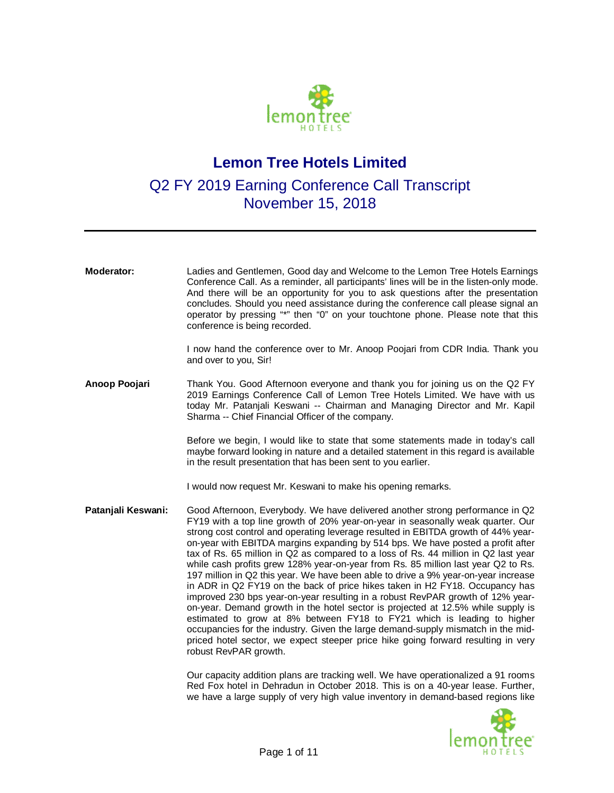

## **Lemon Tree Hotels Limited**

## Q2 FY 2019 Earning Conference Call Transcript November 15, 2018

| <b>Moderator:</b>  | Ladies and Gentlemen, Good day and Welcome to the Lemon Tree Hotels Earnings<br>Conference Call. As a reminder, all participants' lines will be in the listen-only mode.<br>And there will be an opportunity for you to ask questions after the presentation<br>concludes. Should you need assistance during the conference call please signal an<br>operator by pressing "*" then "0" on your touchtone phone. Please note that this<br>conference is being recorded.                                                                                                                                                                                                                                                                                                                                                                                                                                                                                                                                                                                                                                                                        |
|--------------------|-----------------------------------------------------------------------------------------------------------------------------------------------------------------------------------------------------------------------------------------------------------------------------------------------------------------------------------------------------------------------------------------------------------------------------------------------------------------------------------------------------------------------------------------------------------------------------------------------------------------------------------------------------------------------------------------------------------------------------------------------------------------------------------------------------------------------------------------------------------------------------------------------------------------------------------------------------------------------------------------------------------------------------------------------------------------------------------------------------------------------------------------------|
|                    | I now hand the conference over to Mr. Anoop Poojari from CDR India. Thank you<br>and over to you, Sir!                                                                                                                                                                                                                                                                                                                                                                                                                                                                                                                                                                                                                                                                                                                                                                                                                                                                                                                                                                                                                                        |
| Anoop Poojari      | Thank You. Good Afternoon everyone and thank you for joining us on the Q2 FY<br>2019 Earnings Conference Call of Lemon Tree Hotels Limited. We have with us<br>today Mr. Patanjali Keswani -- Chairman and Managing Director and Mr. Kapil<br>Sharma -- Chief Financial Officer of the company.                                                                                                                                                                                                                                                                                                                                                                                                                                                                                                                                                                                                                                                                                                                                                                                                                                               |
|                    | Before we begin, I would like to state that some statements made in today's call<br>maybe forward looking in nature and a detailed statement in this regard is available<br>in the result presentation that has been sent to you earlier.                                                                                                                                                                                                                                                                                                                                                                                                                                                                                                                                                                                                                                                                                                                                                                                                                                                                                                     |
|                    | I would now request Mr. Keswani to make his opening remarks.                                                                                                                                                                                                                                                                                                                                                                                                                                                                                                                                                                                                                                                                                                                                                                                                                                                                                                                                                                                                                                                                                  |
| Patanjali Keswani: | Good Afternoon, Everybody. We have delivered another strong performance in Q2<br>FY19 with a top line growth of 20% year-on-year in seasonally weak quarter. Our<br>strong cost control and operating leverage resulted in EBITDA growth of 44% year-<br>on-year with EBITDA margins expanding by 514 bps. We have posted a profit after<br>tax of Rs. 65 million in Q2 as compared to a loss of Rs. 44 million in Q2 last year<br>while cash profits grew 128% year-on-year from Rs. 85 million last year Q2 to Rs.<br>197 million in Q2 this year. We have been able to drive a 9% year-on-year increase<br>in ADR in Q2 FY19 on the back of price hikes taken in H2 FY18. Occupancy has<br>improved 230 bps year-on-year resulting in a robust RevPAR growth of 12% year-<br>on-year. Demand growth in the hotel sector is projected at 12.5% while supply is<br>estimated to grow at 8% between FY18 to FY21 which is leading to higher<br>occupancies for the industry. Given the large demand-supply mismatch in the mid-<br>priced hotel sector, we expect steeper price hike going forward resulting in very<br>robust RevPAR growth. |
|                    | Our capacity addition plans are tracking well. We have operationalized a 91 rooms<br>Red Fox hotel in Dehradun in October 2018. This is on a 40-year lease. Further,<br>we have a large supply of very high value inventory in demand-based regions like                                                                                                                                                                                                                                                                                                                                                                                                                                                                                                                                                                                                                                                                                                                                                                                                                                                                                      |

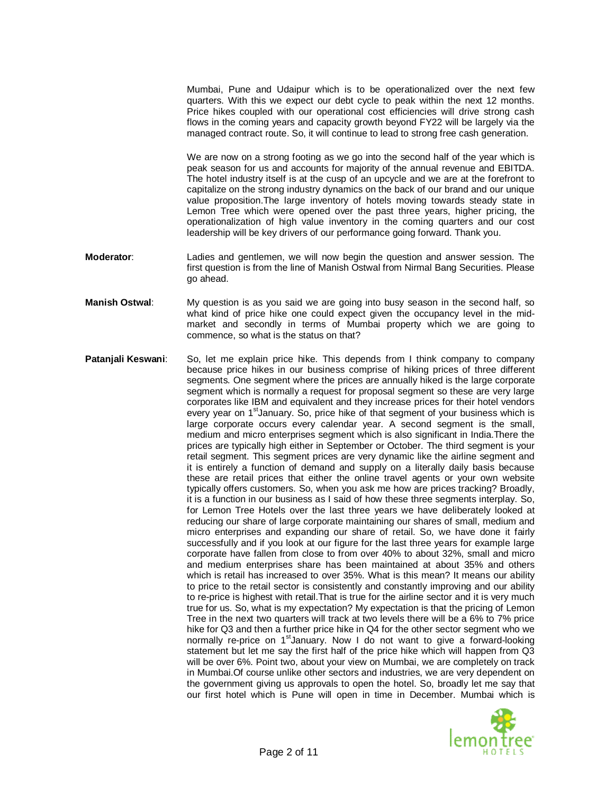Mumbai, Pune and Udaipur which is to be operationalized over the next few quarters. With this we expect our debt cycle to peak within the next 12 months. Price hikes coupled with our operational cost efficiencies will drive strong cash flows in the coming years and capacity growth beyond FY22 will be largely via the managed contract route. So, it will continue to lead to strong free cash generation.

We are now on a strong footing as we go into the second half of the year which is peak season for us and accounts for majority of the annual revenue and EBITDA. The hotel industry itself is at the cusp of an upcycle and we are at the forefront to capitalize on the strong industry dynamics on the back of our brand and our unique value proposition.The large inventory of hotels moving towards steady state in Lemon Tree which were opened over the past three years, higher pricing, the operationalization of high value inventory in the coming quarters and our cost leadership will be key drivers of our performance going forward. Thank you.

- **Moderator**: Ladies and gentlemen, we will now begin the question and answer session. The first question is from the line of Manish Ostwal from Nirmal Bang Securities. Please go ahead.
- **Manish Ostwal**: My question is as you said we are going into busy season in the second half, so what kind of price hike one could expect given the occupancy level in the midmarket and secondly in terms of Mumbai property which we are going to commence, so what is the status on that?
- **Patanjali Keswani**: So, let me explain price hike. This depends from I think company to company because price hikes in our business comprise of hiking prices of three different segments. One segment where the prices are annually hiked is the large corporate segment which is normally a request for proposal segment so these are very large corporates like IBM and equivalent and they increase prices for their hotel vendors every year on 1<sup>st</sup>January. So, price hike of that segment of your business which is large corporate occurs every calendar year. A second segment is the small, medium and micro enterprises segment which is also significant in India.There the prices are typically high either in September or October. The third segment is your retail segment. This segment prices are very dynamic like the airline segment and it is entirely a function of demand and supply on a literally daily basis because these are retail prices that either the online travel agents or your own website typically offers customers. So, when you ask me how are prices tracking? Broadly, it is a function in our business as I said of how these three segments interplay. So, for Lemon Tree Hotels over the last three years we have deliberately looked at reducing our share of large corporate maintaining our shares of small, medium and micro enterprises and expanding our share of retail. So, we have done it fairly successfully and if you look at our figure for the last three years for example large corporate have fallen from close to from over 40% to about 32%, small and micro and medium enterprises share has been maintained at about 35% and others which is retail has increased to over 35%. What is this mean? It means our ability to price to the retail sector is consistently and constantly improving and our ability to re-price is highest with retail.That is true for the airline sector and it is very much true for us. So, what is my expectation? My expectation is that the pricing of Lemon Tree in the next two quarters will track at two levels there will be a 6% to 7% price hike for Q3 and then a further price hike in Q4 for the other sector segment who we normally re-price on 1<sup>st</sup>January. Now I do not want to give a forward-looking statement but let me say the first half of the price hike which will happen from Q3 will be over 6%. Point two, about your view on Mumbai, we are completely on track in Mumbai.Of course unlike other sectors and industries, we are very dependent on the government giving us approvals to open the hotel. So, broadly let me say that our first hotel which is Pune will open in time in December. Mumbai which is

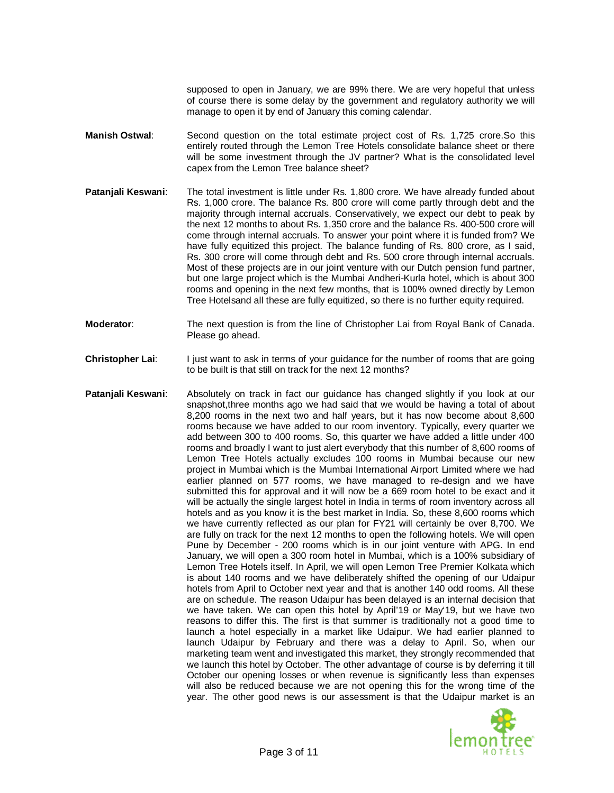supposed to open in January, we are 99% there. We are very hopeful that unless of course there is some delay by the government and regulatory authority we will manage to open it by end of January this coming calendar.

- **Manish Ostwal**: Second question on the total estimate project cost of Rs. 1,725 crore.So this entirely routed through the Lemon Tree Hotels consolidate balance sheet or there will be some investment through the JV partner? What is the consolidated level capex from the Lemon Tree balance sheet?
- **Patanjali Keswani**: The total investment is little under Rs. 1,800 crore. We have already funded about Rs. 1,000 crore. The balance Rs. 800 crore will come partly through debt and the majority through internal accruals. Conservatively, we expect our debt to peak by the next 12 months to about Rs. 1,350 crore and the balance Rs. 400-500 crore will come through internal accruals. To answer your point where it is funded from? We have fully equitized this project. The balance funding of Rs. 800 crore, as I said, Rs. 300 crore will come through debt and Rs. 500 crore through internal accruals. Most of these projects are in our joint venture with our Dutch pension fund partner, but one large project which is the Mumbai Andheri-Kurla hotel, which is about 300 rooms and opening in the next few months, that is 100% owned directly by Lemon Tree Hotelsand all these are fully equitized, so there is no further equity required.
- **Moderator**: The next question is from the line of Christopher Lai from Royal Bank of Canada. Please go ahead.
- **Christopher Lai:** I just want to ask in terms of your guidance for the number of rooms that are going to be built is that still on track for the next 12 months?
- **Patanjali Keswani:** Absolutely on track in fact our guidance has changed slightly if you look at our snapshot,three months ago we had said that we would be having a total of about 8,200 rooms in the next two and half years, but it has now become about 8,600 rooms because we have added to our room inventory. Typically, every quarter we add between 300 to 400 rooms. So, this quarter we have added a little under 400 rooms and broadly I want to just alert everybody that this number of 8,600 rooms of Lemon Tree Hotels actually excludes 100 rooms in Mumbai because our new project in Mumbai which is the Mumbai International Airport Limited where we had earlier planned on 577 rooms, we have managed to re-design and we have submitted this for approval and it will now be a 669 room hotel to be exact and it will be actually the single largest hotel in India in terms of room inventory across all hotels and as you know it is the best market in India. So, these 8,600 rooms which we have currently reflected as our plan for FY21 will certainly be over 8,700. We are fully on track for the next 12 months to open the following hotels. We will open Pune by December - 200 rooms which is in our joint venture with APG. In end January, we will open a 300 room hotel in Mumbai, which is a 100% subsidiary of Lemon Tree Hotels itself. In April, we will open Lemon Tree Premier Kolkata which is about 140 rooms and we have deliberately shifted the opening of our Udaipur hotels from April to October next year and that is another 140 odd rooms. All these are on schedule. The reason Udaipur has been delayed is an internal decision that we have taken. We can open this hotel by April'19 or May'19, but we have two reasons to differ this. The first is that summer is traditionally not a good time to launch a hotel especially in a market like Udaipur. We had earlier planned to launch Udaipur by February and there was a delay to April. So, when our marketing team went and investigated this market, they strongly recommended that we launch this hotel by October. The other advantage of course is by deferring it till October our opening losses or when revenue is significantly less than expenses will also be reduced because we are not opening this for the wrong time of the year. The other good news is our assessment is that the Udaipur market is an

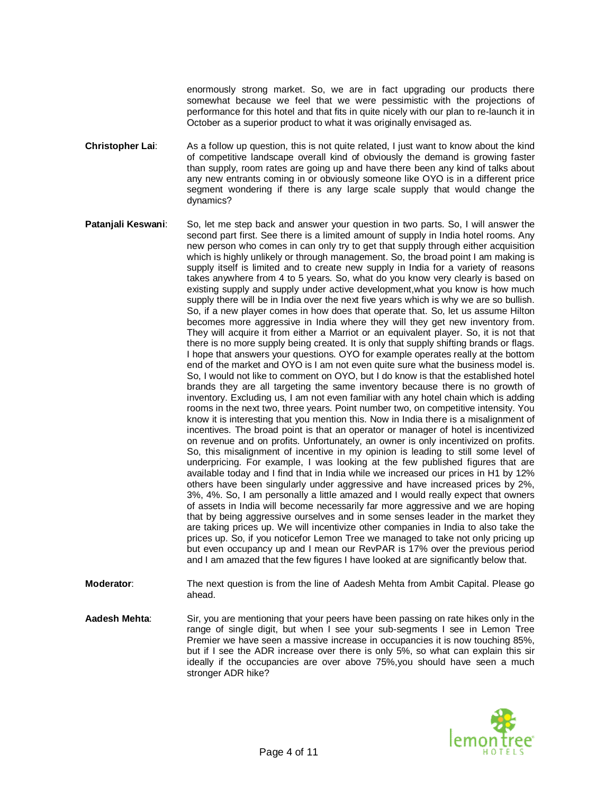enormously strong market. So, we are in fact upgrading our products there somewhat because we feel that we were pessimistic with the projections of performance for this hotel and that fits in quite nicely with our plan to re-launch it in October as a superior product to what it was originally envisaged as.

- **Christopher Lai:** As a follow up question, this is not quite related, I just want to know about the kind of competitive landscape overall kind of obviously the demand is growing faster than supply, room rates are going up and have there been any kind of talks about any new entrants coming in or obviously someone like OYO is in a different price segment wondering if there is any large scale supply that would change the dynamics?
- **Patanjali Keswani**: So, let me step back and answer your question in two parts. So, I will answer the second part first. See there is a limited amount of supply in India hotel rooms. Any new person who comes in can only try to get that supply through either acquisition which is highly unlikely or through management. So, the broad point I am making is supply itself is limited and to create new supply in India for a variety of reasons takes anywhere from 4 to 5 years. So, what do you know very clearly is based on existing supply and supply under active development,what you know is how much supply there will be in India over the next five years which is why we are so bullish. So, if a new player comes in how does that operate that. So, let us assume Hilton becomes more aggressive in India where they will they get new inventory from. They will acquire it from either a Marriot or an equivalent player. So, it is not that there is no more supply being created. It is only that supply shifting brands or flags. I hope that answers your questions. OYO for example operates really at the bottom end of the market and OYO is I am not even quite sure what the business model is. So, I would not like to comment on OYO, but I do know is that the established hotel brands they are all targeting the same inventory because there is no growth of inventory. Excluding us, I am not even familiar with any hotel chain which is adding rooms in the next two, three years. Point number two, on competitive intensity. You know it is interesting that you mention this. Now in India there is a misalignment of incentives. The broad point is that an operator or manager of hotel is incentivized on revenue and on profits. Unfortunately, an owner is only incentivized on profits. So, this misalignment of incentive in my opinion is leading to still some level of underpricing. For example, I was looking at the few published figures that are available today and I find that in India while we increased our prices in H1 by 12% others have been singularly under aggressive and have increased prices by 2%, 3%, 4%. So, I am personally a little amazed and I would really expect that owners of assets in India will become necessarily far more aggressive and we are hoping that by being aggressive ourselves and in some senses leader in the market they are taking prices up. We will incentivize other companies in India to also take the prices up. So, if you noticefor Lemon Tree we managed to take not only pricing up but even occupancy up and I mean our RevPAR is 17% over the previous period and I am amazed that the few figures I have looked at are significantly below that.
- **Moderator:** The next question is from the line of Aadesh Mehta from Ambit Capital. Please go ahead.
- **Aadesh Mehta**: Sir, you are mentioning that your peers have been passing on rate hikes only in the range of single digit, but when I see your sub-segments I see in Lemon Tree Premier we have seen a massive increase in occupancies it is now touching 85%, but if I see the ADR increase over there is only 5%, so what can explain this sir ideally if the occupancies are over above 75%,you should have seen a much stronger ADR hike?

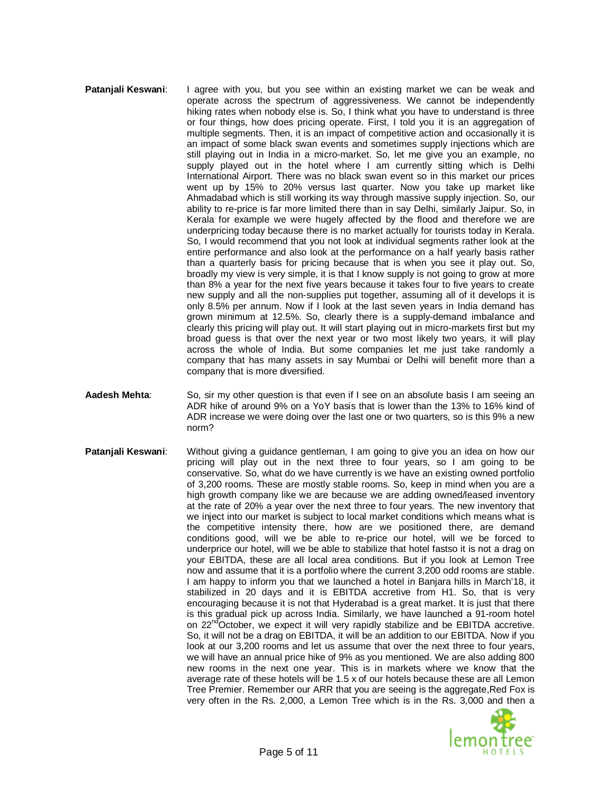## **Pataniali Keswani:** I agree with you, but you see within an existing market we can be weak and operate across the spectrum of aggressiveness. We cannot be independently hiking rates when nobody else is. So, I think what you have to understand is three or four things, how does pricing operate. First, I told you it is an aggregation of multiple segments. Then, it is an impact of competitive action and occasionally it is an impact of some black swan events and sometimes supply injections which are still playing out in India in a micro-market. So, let me give you an example, no supply played out in the hotel where I am currently sitting which is Delhi International Airport. There was no black swan event so in this market our prices went up by 15% to 20% versus last quarter. Now you take up market like Ahmadabad which is still working its way through massive supply injection. So, our ability to re-price is far more limited there than in say Delhi, similarly Jaipur. So, in Kerala for example we were hugely affected by the flood and therefore we are underpricing today because there is no market actually for tourists today in Kerala. So, I would recommend that you not look at individual segments rather look at the entire performance and also look at the performance on a half yearly basis rather than a quarterly basis for pricing because that is when you see it play out. So, broadly my view is very simple, it is that I know supply is not going to grow at more than 8% a year for the next five years because it takes four to five years to create new supply and all the non-supplies put together, assuming all of it develops it is only 8.5% per annum. Now if I look at the last seven years in India demand has grown minimum at 12.5%. So, clearly there is a supply-demand imbalance and clearly this pricing will play out. It will start playing out in micro-markets first but my broad guess is that over the next year or two most likely two years, it will play across the whole of India. But some companies let me just take randomly a company that has many assets in say Mumbai or Delhi will benefit more than a company that is more diversified.

- **Aadesh Mehta**: So, sir my other question is that even if I see on an absolute basis I am seeing an ADR hike of around 9% on a YoY basis that is lower than the 13% to 16% kind of ADR increase we were doing over the last one or two quarters, so is this 9% a new norm?
- **Patanjali Keswani:** Without giving a guidance gentleman, I am going to give you an idea on how our pricing will play out in the next three to four years, so I am going to be conservative. So, what do we have currently is we have an existing owned portfolio of 3,200 rooms. These are mostly stable rooms. So, keep in mind when you are a high growth company like we are because we are adding owned/leased inventory at the rate of 20% a year over the next three to four years. The new inventory that we inject into our market is subject to local market conditions which means what is the competitive intensity there, how are we positioned there, are demand conditions good, will we be able to re-price our hotel, will we be forced to underprice our hotel, will we be able to stabilize that hotel fastso it is not a drag on your EBITDA, these are all local area conditions. But if you look at Lemon Tree now and assume that it is a portfolio where the current 3,200 odd rooms are stable. I am happy to inform you that we launched a hotel in Banjara hills in March'18, it stabilized in 20 days and it is EBITDA accretive from H1. So, that is very encouraging because it is not that Hyderabad is a great market. It is just that there is this gradual pick up across India. Similarly, we have launched a 91-room hotel on  $22^{nd}$ October, we expect it will very rapidly stabilize and be EBITDA accretive. So, it will not be a drag on EBITDA, it will be an addition to our EBITDA. Now if you look at our 3,200 rooms and let us assume that over the next three to four years, we will have an annual price hike of 9% as you mentioned. We are also adding 800 new rooms in the next one year. This is in markets where we know that the average rate of these hotels will be 1.5 x of our hotels because these are all Lemon Tree Premier. Remember our ARR that you are seeing is the aggregate,Red Fox is very often in the Rs. 2,000, a Lemon Tree which is in the Rs. 3,000 and then a

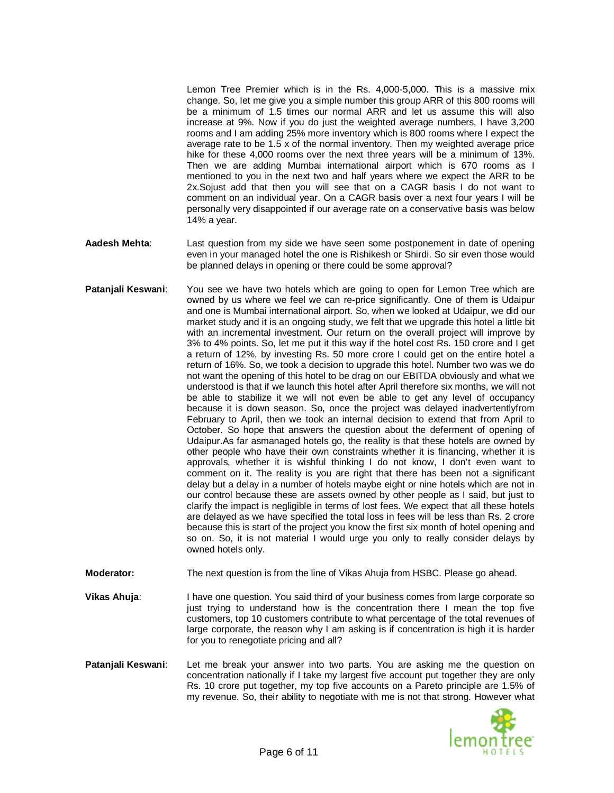Lemon Tree Premier which is in the Rs. 4,000-5,000. This is a massive mix change. So, let me give you a simple number this group ARR of this 800 rooms will be a minimum of 1.5 times our normal ARR and let us assume this will also increase at 9%. Now if you do just the weighted average numbers, I have 3,200 rooms and I am adding 25% more inventory which is 800 rooms where I expect the average rate to be 1.5 x of the normal inventory. Then my weighted average price hike for these 4,000 rooms over the next three years will be a minimum of 13%. Then we are adding Mumbai international airport which is 670 rooms as I mentioned to you in the next two and half years where we expect the ARR to be 2x.Sojust add that then you will see that on a CAGR basis I do not want to comment on an individual year. On a CAGR basis over a next four years I will be personally very disappointed if our average rate on a conservative basis was below 14% a year.

- **Aadesh Mehta**: Last question from my side we have seen some postponement in date of opening even in your managed hotel the one is Rishikesh or Shirdi. So sir even those would be planned delays in opening or there could be some approval?
- **Patanjali Keswani:** You see we have two hotels which are going to open for Lemon Tree which are owned by us where we feel we can re-price significantly. One of them is Udaipur and one is Mumbai international airport. So, when we looked at Udaipur, we did our market study and it is an ongoing study, we felt that we upgrade this hotel a little bit with an incremental investment. Our return on the overall project will improve by 3% to 4% points. So, let me put it this way if the hotel cost Rs. 150 crore and I get a return of 12%, by investing Rs. 50 more crore I could get on the entire hotel a return of 16%. So, we took a decision to upgrade this hotel. Number two was we do not want the opening of this hotel to be drag on our EBITDA obviously and what we understood is that if we launch this hotel after April therefore six months, we will not be able to stabilize it we will not even be able to get any level of occupancy because it is down season. So, once the project was delayed inadvertentlyfrom February to April, then we took an internal decision to extend that from April to October. So hope that answers the question about the deferment of opening of Udaipur.As far asmanaged hotels go, the reality is that these hotels are owned by other people who have their own constraints whether it is financing, whether it is approvals, whether it is wishful thinking I do not know, I don't even want to comment on it. The reality is you are right that there has been not a significant delay but a delay in a number of hotels maybe eight or nine hotels which are not in our control because these are assets owned by other people as I said, but just to clarify the impact is negligible in terms of lost fees. We expect that all these hotels are delayed as we have specified the total loss in fees will be less than Rs. 2 crore because this is start of the project you know the first six month of hotel opening and so on. So, it is not material I would urge you only to really consider delays by owned hotels only.
- **Moderator:** The next question is from the line of Vikas Ahuja from HSBC. Please go ahead.
- **Vikas Ahuja:** I have one question. You said third of your business comes from large corporate so just trying to understand how is the concentration there I mean the top five customers, top 10 customers contribute to what percentage of the total revenues of large corporate, the reason why I am asking is if concentration is high it is harder for you to renegotiate pricing and all?
- **Patanjali Keswani**: Let me break your answer into two parts. You are asking me the question on concentration nationally if I take my largest five account put together they are only Rs. 10 crore put together, my top five accounts on a Pareto principle are 1.5% of my revenue. So, their ability to negotiate with me is not that strong. However what

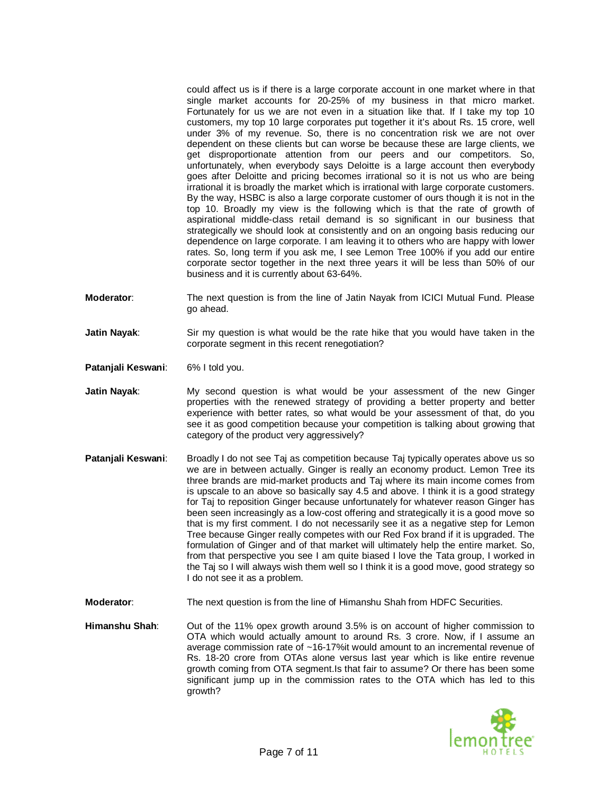could affect us is if there is a large corporate account in one market where in that single market accounts for 20-25% of my business in that micro market. Fortunately for us we are not even in a situation like that. If I take my top 10 customers, my top 10 large corporates put together it it's about Rs. 15 crore, well under 3% of my revenue. So, there is no concentration risk we are not over dependent on these clients but can worse be because these are large clients, we get disproportionate attention from our peers and our competitors. So, unfortunately, when everybody says Deloitte is a large account then everybody goes after Deloitte and pricing becomes irrational so it is not us who are being irrational it is broadly the market which is irrational with large corporate customers. By the way, HSBC is also a large corporate customer of ours though it is not in the top 10. Broadly my view is the following which is that the rate of growth of aspirational middle-class retail demand is so significant in our business that strategically we should look at consistently and on an ongoing basis reducing our dependence on large corporate. I am leaving it to others who are happy with lower rates. So, long term if you ask me, I see Lemon Tree 100% if you add our entire corporate sector together in the next three years it will be less than 50% of our business and it is currently about 63-64%.

- **Moderator**: The next question is from the line of Jatin Nayak from ICICI Mutual Fund. Please go ahead.
- **Jatin Nayak**: Sir my question is what would be the rate hike that you would have taken in the corporate segment in this recent renegotiation?
- **Patanjali Keswani**: 6% I told you.
- **Jatin Nayak**: My second question is what would be your assessment of the new Ginger properties with the renewed strategy of providing a better property and better experience with better rates, so what would be your assessment of that, do you see it as good competition because your competition is talking about growing that category of the product very aggressively?
- **Patanjali Keswani:** Broadly I do not see Taj as competition because Taj typically operates above us so we are in between actually. Ginger is really an economy product. Lemon Tree its three brands are mid-market products and Taj where its main income comes from is upscale to an above so basically say 4.5 and above. I think it is a good strategy for Taj to reposition Ginger because unfortunately for whatever reason Ginger has been seen increasingly as a low-cost offering and strategically it is a good move so that is my first comment. I do not necessarily see it as a negative step for Lemon Tree because Ginger really competes with our Red Fox brand if it is upgraded. The formulation of Ginger and of that market will ultimately help the entire market. So, from that perspective you see I am quite biased I love the Tata group, I worked in the Taj so I will always wish them well so I think it is a good move, good strategy so I do not see it as a problem.
- **Moderator**: The next question is from the line of Himanshu Shah from HDFC Securities.
- **Himanshu Shah**: Out of the 11% opex growth around 3.5% is on account of higher commission to OTA which would actually amount to around Rs. 3 crore. Now, if I assume an average commission rate of ~16-17%it would amount to an incremental revenue of Rs. 18-20 crore from OTAs alone versus last year which is like entire revenue growth coming from OTA segment.Is that fair to assume? Or there has been some significant jump up in the commission rates to the OTA which has led to this growth?

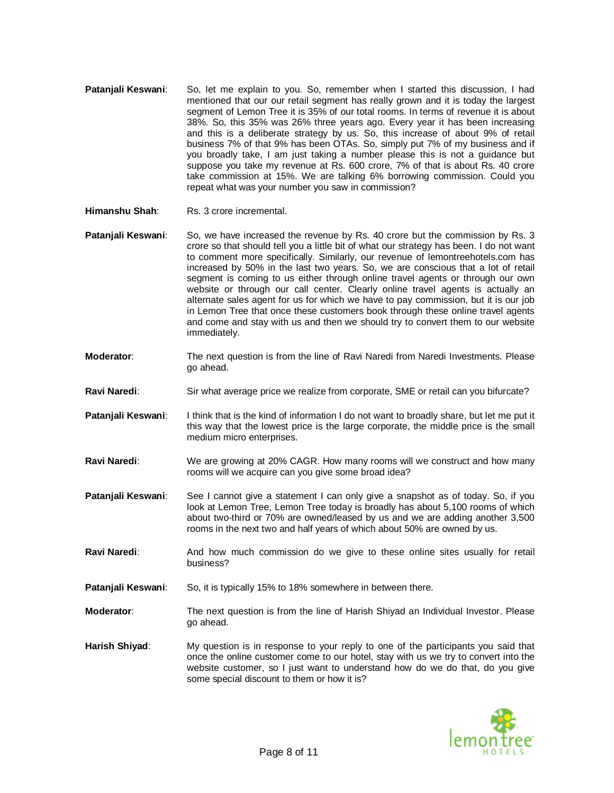- **Patanjali Keswani**: So, let me explain to you. So, remember when I started this discussion, I had mentioned that our our retail segment has really grown and it is today the largest segment of Lemon Tree it is 35% of our total rooms. In terms of revenue it is about 38%. So, this 35% was 26% three years ago. Every year it has been increasing and this is a deliberate strategy by us. So, this increase of about 9% of retail business 7% of that 9% has been OTAs. So, simply put 7% of my business and if you broadly take, I am just taking a number please this is not a guidance but suppose you take my revenue at Rs. 600 crore, 7% of that is about Rs. 40 crore take commission at 15%. We are talking 6% borrowing commission. Could you repeat what was your number you saw in commission?
- **Himanshu Shah:** Rs. 3 crore incremental.
- **Patanjali Keswani:** So, we have increased the revenue by Rs. 40 crore but the commission by Rs. 3 crore so that should tell you a little bit of what our strategy has been. I do not want to comment more specifically. Similarly, our revenue of lemontreehotels.com has increased by 50% in the last two years. So, we are conscious that a lot of retail segment is coming to us either through online travel agents or through our own website or through our call center. Clearly online travel agents is actually an alternate sales agent for us for which we have to pay commission, but it is our job in Lemon Tree that once these customers book through these online travel agents and come and stay with us and then we should try to convert them to our website immediately.
- **Moderator**: The next question is from the line of Ravi Naredi from Naredi Investments. Please go ahead.
- Ravi Naredi: Sir what average price we realize from corporate, SME or retail can you bifurcate?
- **Patanjali Keswani:** I think that is the kind of information I do not want to broadly share, but let me put it this way that the lowest price is the large corporate, the middle price is the small medium micro enterprises.
- **Ravi Naredi**: We are growing at 20% CAGR. How many rooms will we construct and how many rooms will we acquire can you give some broad idea?
- **Patanjali Keswani**: See I cannot give a statement I can only give a snapshot as of today. So, if you look at Lemon Tree, Lemon Tree today is broadly has about 5,100 rooms of which about two-third or 70% are owned/leased by us and we are adding another 3,500 rooms in the next two and half years of which about 50% are owned by us.
- **Ravi Naredi:** And how much commission do we give to these online sites usually for retail business?
- **Patanjali Keswani:** So, it is typically 15% to 18% somewhere in between there.
- **Moderator**: The next question is from the line of Harish Shiyad an Individual Investor. Please go ahead.
- **Harish Shiyad**: My question is in response to your reply to one of the participants you said that once the online customer come to our hotel, stay with us we try to convert into the website customer, so I just want to understand how do we do that, do you give some special discount to them or how it is?

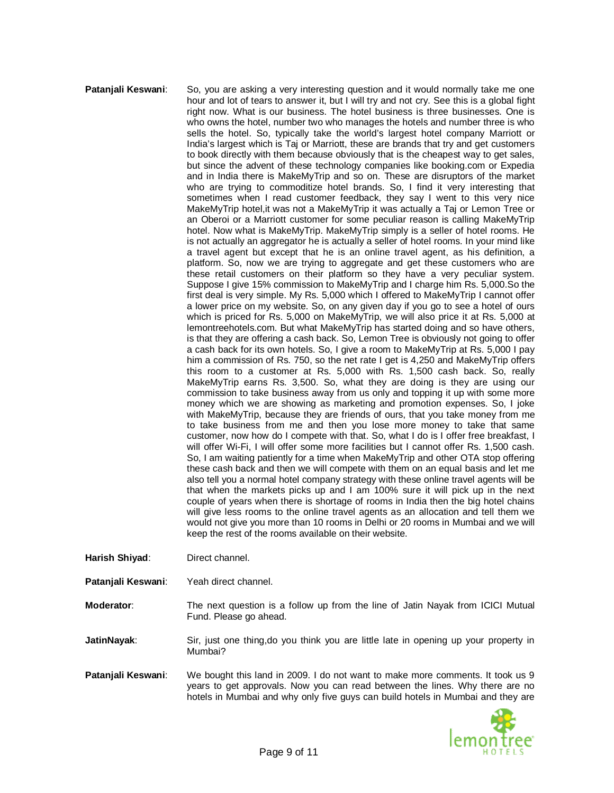## **Pataniali Keswani:** So, you are asking a very interesting question and it would normally take me one hour and lot of tears to answer it, but I will try and not cry. See this is a global fight right now. What is our business. The hotel business is three businesses. One is who owns the hotel, number two who manages the hotels and number three is who sells the hotel. So, typically take the world's largest hotel company Marriott or India's largest which is Taj or Marriott, these are brands that try and get customers to book directly with them because obviously that is the cheapest way to get sales, but since the advent of these technology companies like booking.com or Expedia and in India there is MakeMyTrip and so on. These are disruptors of the market who are trying to commoditize hotel brands. So, I find it very interesting that sometimes when I read customer feedback, they say I went to this very nice MakeMyTrip hotel,it was not a MakeMyTrip it was actually a Taj or Lemon Tree or an Oberoi or a Marriott customer for some peculiar reason is calling MakeMyTrip hotel. Now what is MakeMyTrip. MakeMyTrip simply is a seller of hotel rooms. He is not actually an aggregator he is actually a seller of hotel rooms. In your mind like a travel agent but except that he is an online travel agent, as his definition, a platform. So, now we are trying to aggregate and get these customers who are these retail customers on their platform so they have a very peculiar system. Suppose I give 15% commission to MakeMyTrip and I charge him Rs. 5,000.So the first deal is very simple. My Rs. 5,000 which I offered to MakeMyTrip I cannot offer a lower price on my website. So, on any given day if you go to see a hotel of ours which is priced for Rs. 5,000 on MakeMyTrip, we will also price it at Rs. 5,000 at lemontreehotels.com. But what MakeMyTrip has started doing and so have others, is that they are offering a cash back. So, Lemon Tree is obviously not going to offer a cash back for its own hotels. So, I give a room to MakeMyTrip at Rs. 5,000 I pay him a commission of Rs. 750, so the net rate I get is 4,250 and MakeMyTrip offers this room to a customer at Rs. 5,000 with Rs. 1,500 cash back. So, really MakeMyTrip earns Rs. 3,500. So, what they are doing is they are using our commission to take business away from us only and topping it up with some more money which we are showing as marketing and promotion expenses. So, I joke with MakeMyTrip, because they are friends of ours, that you take money from me to take business from me and then you lose more money to take that same customer, now how do I compete with that. So, what I do is I offer free breakfast, I will offer Wi-Fi, I will offer some more facilities but I cannot offer Rs. 1,500 cash. So, I am waiting patiently for a time when MakeMyTrip and other OTA stop offering these cash back and then we will compete with them on an equal basis and let me also tell you a normal hotel company strategy with these online travel agents will be that when the markets picks up and I am 100% sure it will pick up in the next couple of years when there is shortage of rooms in India then the big hotel chains will give less rooms to the online travel agents as an allocation and tell them we would not give you more than 10 rooms in Delhi or 20 rooms in Mumbai and we will keep the rest of the rooms available on their website.

- **Harish Shiyad**: Direct channel.
- **Patanjali Keswani**: Yeah direct channel.
- **Moderator**: The next question is a follow up from the line of Jatin Nayak from ICICI Mutual Fund. Please go ahead.

**JatinNayak:** Sir, just one thing,do you think you are little late in opening up your property in Mumbai?

**Patanjali Keswani**: We bought this land in 2009. I do not want to make more comments. It took us 9 years to get approvals. Now you can read between the lines. Why there are no hotels in Mumbai and why only five guys can build hotels in Mumbai and they are

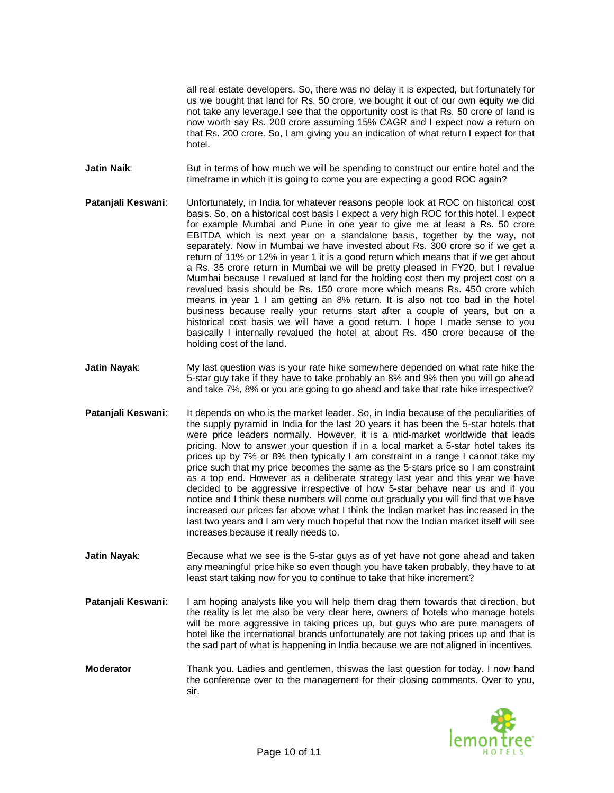all real estate developers. So, there was no delay it is expected, but fortunately for us we bought that land for Rs. 50 crore, we bought it out of our own equity we did not take any leverage.I see that the opportunity cost is that Rs. 50 crore of land is now worth say Rs. 200 crore assuming 15% CAGR and I expect now a return on that Rs. 200 crore. So, I am giving you an indication of what return I expect for that hotel.

**Jatin Naik:** But in terms of how much we will be spending to construct our entire hotel and the timeframe in which it is going to come you are expecting a good ROC again?

- **Patanjali Keswani**: Unfortunately, in India for whatever reasons people look at ROC on historical cost basis. So, on a historical cost basis I expect a very high ROC for this hotel. I expect for example Mumbai and Pune in one year to give me at least a Rs. 50 crore EBITDA which is next year on a standalone basis, together by the way, not separately. Now in Mumbai we have invested about Rs. 300 crore so if we get a return of 11% or 12% in year 1 it is a good return which means that if we get about a Rs. 35 crore return in Mumbai we will be pretty pleased in FY20, but I revalue Mumbai because I revalued at land for the holding cost then my project cost on a revalued basis should be Rs. 150 crore more which means Rs. 450 crore which means in year 1 I am getting an 8% return. It is also not too bad in the hotel business because really your returns start after a couple of years, but on a historical cost basis we will have a good return. I hope I made sense to you basically I internally revalued the hotel at about Rs. 450 crore because of the holding cost of the land.
- **Jatin Nayak:** My last question was is your rate hike somewhere depended on what rate hike the 5-star guy take if they have to take probably an 8% and 9% then you will go ahead and take 7%, 8% or you are going to go ahead and take that rate hike irrespective?
- **Patanjali Keswani:** It depends on who is the market leader. So, in India because of the peculiarities of the supply pyramid in India for the last 20 years it has been the 5-star hotels that were price leaders normally. However, it is a mid-market worldwide that leads pricing. Now to answer your question if in a local market a 5-star hotel takes its prices up by 7% or 8% then typically I am constraint in a range I cannot take my price such that my price becomes the same as the 5-stars price so I am constraint as a top end. However as a deliberate strategy last year and this year we have decided to be aggressive irrespective of how 5-star behave near us and if you notice and I think these numbers will come out gradually you will find that we have increased our prices far above what I think the Indian market has increased in the last two years and I am very much hopeful that now the Indian market itself will see increases because it really needs to.
- **Jatin Nayak**: Because what we see is the 5-star guys as of yet have not gone ahead and taken any meaningful price hike so even though you have taken probably, they have to at least start taking now for you to continue to take that hike increment?
- **Patanjali Keswani:** I am hoping analysts like you will help them drag them towards that direction, but the reality is let me also be very clear here, owners of hotels who manage hotels will be more aggressive in taking prices up, but guys who are pure managers of hotel like the international brands unfortunately are not taking prices up and that is the sad part of what is happening in India because we are not aligned in incentives.
- **Moderator** Thank you. Ladies and gentlemen, thiswas the last question for today. I now hand the conference over to the management for their closing comments. Over to you, sir.